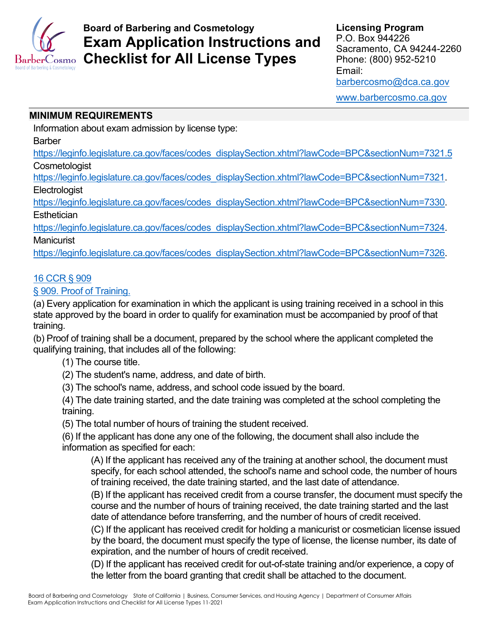

# **Board of Barbering and Cosmetology Exam Application Instructions and Checklist for All License Types**

**Licensing Program** P.O. Box 944226 Sacramento, CA 94244-2260 Phone: (800) 952-5210 Email: [barbercosmo@dca.ca.gov](mailto:barbercosmo@dca.ca.gov)

[www.barbercosmo.ca.gov](http://www.barbercosmo.ca.gov/)

## **MINIMUM REQUIREMENTS**

Information about exam admission by license type:

Barber

[https://leginfo.legislature.ca.gov/faces/codes\\_displaySection.xhtml?lawCode=BPC&sectionNum=7321.5](https://leginfo.legislature.ca.gov/faces/codes_displaySection.xhtml?lawCode=BPC§ionNum=7321.5) **Cosmetologist** 

[https://leginfo.legislature.ca.gov/faces/codes\\_displaySection.xhtml?lawCode=BPC&sectionNum=7321.](https://leginfo.legislature.ca.gov/faces/codes_displaySection.xhtml?lawCode=BPC§ionNum=7321) **Electrologist** 

[https://leginfo.legislature.ca.gov/faces/codes\\_displaySection.xhtml?lawCode=BPC&sectionNum=7330.](https://leginfo.legislature.ca.gov/faces/codes_displaySection.xhtml?lawCode=BPC§ionNum=7330) **Esthetician** 

[https://leginfo.legislature.ca.gov/faces/codes\\_displaySection.xhtml?lawCode=BPC&sectionNum=7324.](https://leginfo.legislature.ca.gov/faces/codes_displaySection.xhtml?lawCode=BPC§ionNum=7324) **Manicurist** 

[https://leginfo.legislature.ca.gov/faces/codes\\_displaySection.xhtml?lawCode=BPC&sectionNum=7326.](https://leginfo.legislature.ca.gov/faces/codes_displaySection.xhtml?lawCode=BPC§ionNum=7326)

## [16 CCR § 909](https://govt.westlaw.com/calregs/Document/I3605BFF0D48C11DEBC02831C6D6C108E?viewType=FullText&originationContext=documenttoc&transitionType=CategoryPageItem&contextData=(sc.Default))

[§ 909. Proof of Training.](https://govt.westlaw.com/calregs/Document/I3605BFF0D48C11DEBC02831C6D6C108E?viewType=FullText&originationContext=documenttoc&transitionType=CategoryPageItem&contextData=(sc.Default))

(a) Every application for examination in which the applicant is using training received in a school in this state approved by the board in order to qualify for examination must be accompanied by proof of that training.

(b) Proof of training shall be a document, prepared by the school where the applicant completed the qualifying training, that includes all of the following:

- (1) The course title.
- (2) The student's name, address, and date of birth.
- (3) The school's name, address, and school code issued by the board.

(4) The date training started, and the date training was completed at the school completing the training.

(5) The total number of hours of training the student received.

(6) If the applicant has done any one of the following, the document shall also include the information as specified for each:

(A) If the applicant has received any of the training at another school, the document must specify, for each school attended, the school's name and school code, the number of hours of training received, the date training started, and the last date of attendance.

(B) If the applicant has received credit from a course transfer, the document must specify the course and the number of hours of training received, the date training started and the last date of attendance before transferring, and the number of hours of credit received.

(C) If the applicant has received credit for holding a manicurist or cosmetician license issued by the board, the document must specify the type of license, the license number, its date of expiration, and the number of hours of credit received.

(D) If the applicant has received credit for out-of-state training and/or experience, a copy of the letter from the board granting that credit shall be attached to the document.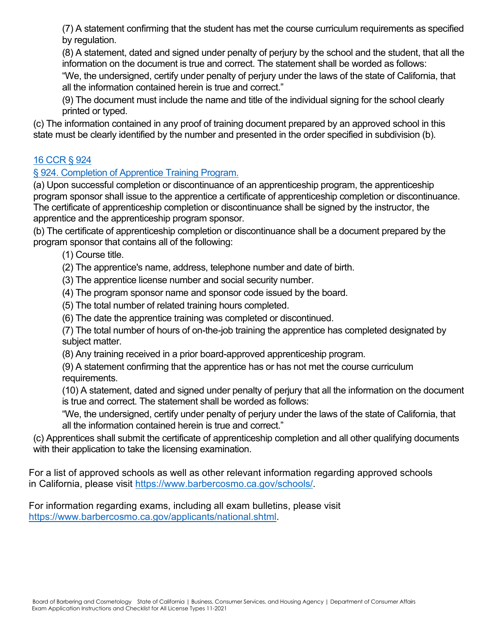(7) A statement confirming that the student has met the course curriculum requirements as specified by regulation.

(8) A statement, dated and signed under penalty of perjury by the school and the student, that all the information on the document is true and correct. The statement shall be worded as follows:

"We, the undersigned, certify under penalty of perjury under the laws of the state of California, that all the information contained herein is true and correct."

(9) The document must include the name and title of the individual signing for the school clearly printed or typed.

(c) The information contained in any proof of training document prepared by an approved school in this state must be clearly identified by the number and presented in the order specified in subdivision (b).

# [16 CCR § 924](https://govt.westlaw.com/calregs/Document/I4D37DC30D48C11DEBC02831C6D6C108E?viewType=FullText&originationContext=documenttoc&transitionType=CategoryPageItem&contextData=(sc.Default)&bhcp=1)

# [§ 924. Completion of Apprentice Training Program.](https://govt.westlaw.com/calregs/Document/I4D37DC30D48C11DEBC02831C6D6C108E?viewType=FullText&originationContext=documenttoc&transitionType=CategoryPageItem&contextData=(sc.Default)&bhcp=1)

(a) Upon successful completion or discontinuance of an apprenticeship program, the apprenticeship program sponsor shall issue to the apprentice a certificate of apprenticeship completion or discontinuance. The certificate of apprenticeship completion or discontinuance shall be signed by the instructor, the apprentice and the apprenticeship program sponsor.

(b) The certificate of apprenticeship completion or discontinuance shall be a document prepared by the program sponsor that contains all of the following:

- (1) Course title.
- (2) The apprentice's name, address, telephone number and date of birth.
- (3) The apprentice license number and social security number.
- (4) The program sponsor name and sponsor code issued by the board.
- (5) The total number of related training hours completed.
- (6) The date the apprentice training was completed or discontinued.

(7) The total number of hours of on-the-job training the apprentice has completed designated by subject matter.

- (8) Any training received in a prior board-approved apprenticeship program.
- (9) A statement confirming that the apprentice has or has not met the course curriculum requirements.

(10) A statement, dated and signed under penalty of perjury that all the information on the document is true and correct. The statement shall be worded as follows:

"We, the undersigned, certify under penalty of perjury under the laws of the state of California, that all the information contained herein is true and correct."

(c) Apprentices shall submit the certificate of apprenticeship completion and all other qualifying documents with their application to take the licensing examination.

For a list of approved schools as well as other relevant information regarding approved schools in California, please visit [https://www.barbercosmo.ca.gov/schools/.](https://www.barbercosmo.ca.gov/schools/)

For information regarding exams, including all exam bulletins, please visit [https://www.barbercosmo.ca.gov/applicants/national.shtml.](https://www.barbercosmo.ca.gov/applicants/national.shtml)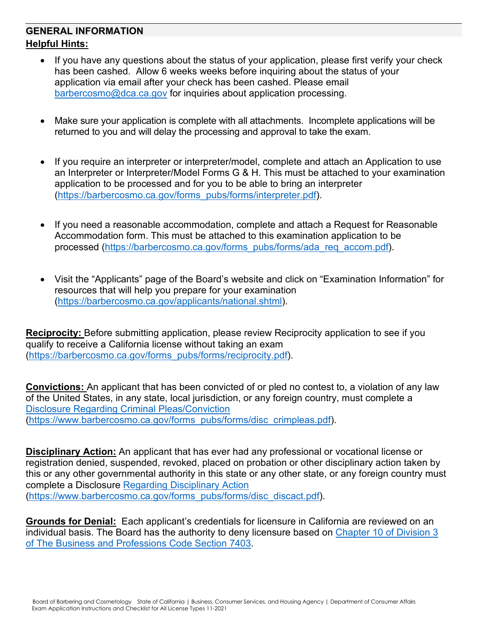# **GENERAL INFORMATION Helpful Hints:**

- If you have any questions about the status of your application, please first verify your check has been cashed. Allow 6 weeks weeks before inquiring about the status of your application via email after your check has been cashed. Please email [barbercosmo@dca.ca.gov](mailto:barbercosmo@dca.ca.gov) for inquiries about application processing.
- Make sure your application is complete with all attachments. Incomplete applications will be returned to you and will delay the processing and approval to take the exam.
- If you require an interpreter or interpreter/model, complete and attach an Application to use an Interpreter or Interpreter/Model Forms G & H. This must be attached to your examination application to be processed and for you to be able to bring an interpreter [\(https://barbercosmo.ca.gov/forms\\_pubs/forms/interpreter.pdf\)](https://barbercosmo.ca.gov/forms_pubs/forms/interpreter.pdf).
- If you need a reasonable accommodation, complete and attach a Request for Reasonable Accommodation form. This must be attached to this examination application to be processed [\(https://barbercosmo.ca.gov/forms\\_pubs/forms/ada\\_req\\_accom.pdf\)](https://barbercosmo.ca.gov/forms_pubs/forms/ada_req_accom.pdf).
- Visit the "Applicants" page of the Board's website and click on "Examination Information" for resources that will help you prepare for your examination [\(https://barbercosmo.ca.gov/applicants/national.shtml\)](https://barbercosmo.ca.gov/applicants/national.shtml).

**Reciprocity:** Before submitting application, please review Reciprocity application to see if you qualify to receive a California license without taking an exam [\(https://barbercosmo.ca.gov/forms\\_pubs/forms/reciprocity.pdf\)](https://barbercosmo.ca.gov/forms_pubs/forms/reciprocity.pdf).

**Convictions:** An applicant that has been convicted of or pled no contest to, a violation of any law of the United States, in any state, local jurisdiction, or any foreign country, must complete a [Disclosure Regarding Criminal Pleas/Conviction](https://barbercosmo.ca.gov/forms_pubs/forms/disc_crimpleas.pdf) [\(https://www.barbercosmo.ca.gov/forms\\_pubs/forms/disc\\_crimpleas.pdf\)](https://www.barbercosmo.ca.gov/forms_pubs/forms/disc_crimpleas.pdf).

**Disciplinary Action:** An applicant that has ever had any professional or vocational license or registration denied, suspended, revoked, placed on probation or other disciplinary action taken by this or any other governmental authority in this state or any other state, or any foreign country must complete a Disclosure [Regarding Disciplinary Action](https://barbercosmo.ca.gov/forms_pubs/forms/disc_discact.pdf) [\(https://www.barbercosmo.ca.gov/forms\\_pubs/forms/disc\\_discact.pdf\)](https://www.barbercosmo.ca.gov/forms_pubs/forms/disc_discact.pdf).

**Grounds for Denial:** Each applicant's credentials for licensure in California are reviewed on an individual basis. The Board has the authority to deny licensure based on [Chapter 10 of Division 3](http://leginfo.legislature.ca.gov/faces/codes_displaySection.xhtml?lawCode=BPC§ionNum=480.)  [of The Business and Professions Code Section 7403.](http://leginfo.legislature.ca.gov/faces/codes_displaySection.xhtml?lawCode=BPC§ionNum=480.)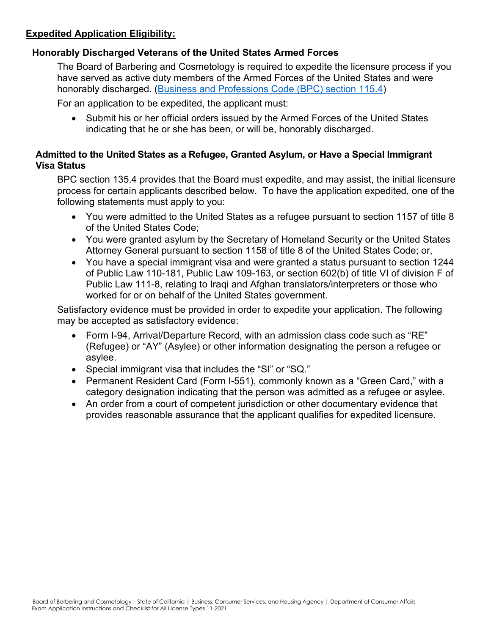## **Expedited Application Eligibility:**

#### **Honorably Discharged Veterans of the United States Armed Forces**

The Board of Barbering and Cosmetology is required to expedite the licensure process if you have served as active duty members of the Armed Forces of the United States and were honorably discharged. [\(Business and Professions Code \(BPC\) section 115.4\)](http://leginfo.legislature.ca.gov/faces/codes_displaySection.xhtml?lawCode=BPC§ionNum=115.4.)

For an application to be expedited, the applicant must:

• Submit his or her official orders issued by the Armed Forces of the United States indicating that he or she has been, or will be, honorably discharged.

#### **Admitted to the United States as a Refugee, Granted Asylum, or Have a Special Immigrant Visa Status**

BPC section 135.4 provides that the Board must expedite, and may assist, the initial licensure process for certain applicants described below. To have the application expedited, one of the following statements must apply to you:

- You were admitted to the United States as a refugee pursuant to section 1157 of title 8 of the United States Code;
- You were granted asylum by the Secretary of Homeland Security or the United States Attorney General pursuant to section 1158 of title 8 of the United States Code; or,
- You have a special immigrant visa and were granted a status pursuant to section 1244 of Public Law 110-181, Public Law 109-163, or section 602(b) of title VI of division F of Public Law 111-8, relating to Iraqi and Afghan translators/interpreters or those who worked for or on behalf of the United States government.

Satisfactory evidence must be provided in order to expedite your application. The following may be accepted as satisfactory evidence:

- Form I-94, Arrival/Departure Record, with an admission class code such as "RE" (Refugee) or "AY" (Asylee) or other information designating the person a refugee or asylee.
- Special immigrant visa that includes the "SI" or "SQ."
- Permanent Resident Card (Form I-551), commonly known as a "Green Card," with a category designation indicating that the person was admitted as a refugee or asylee.
- An order from a court of competent jurisdiction or other documentary evidence that provides reasonable assurance that the applicant qualifies for expedited licensure.